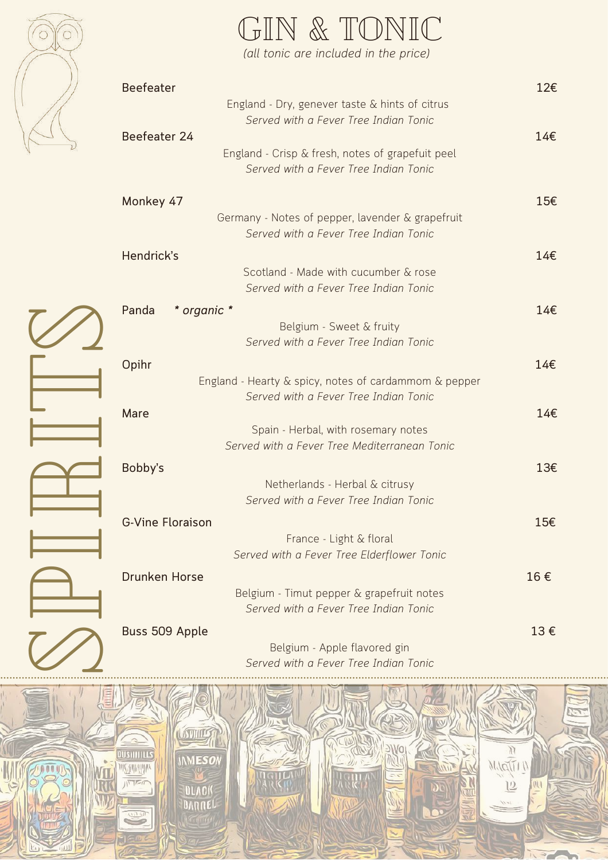

 $\varnothing$ 

 $\triangle$ 

I

 $\mathbb{R}$ 

I

 $\equiv$ 

 $\varnothing$ 

|                         | (all tonic are included in the price)                                              |     |
|-------------------------|------------------------------------------------------------------------------------|-----|
| <b>Beefeater</b>        |                                                                                    | 12€ |
|                         | England - Dry, genever taste & hints of citrus                                     |     |
|                         | Served with a Fever Tree Indian Tonic                                              |     |
| Beefeater 24            |                                                                                    | 14€ |
|                         | England - Crisp & fresh, notes of grapefuit peel                                   |     |
|                         | Served with a Fever Tree Indian Tonic                                              |     |
|                         |                                                                                    |     |
| Monkey 47               |                                                                                    | 15€ |
|                         | Germany - Notes of pepper, lavender & grapefruit                                   |     |
|                         | Served with a Fever Tree Indian Tonic                                              |     |
| Hendrick's              |                                                                                    | 14€ |
|                         | Scotland - Made with cucumber & rose                                               |     |
|                         | Served with a Fever Tree Indian Tonic                                              |     |
|                         |                                                                                    |     |
| Panda<br>* organic *    |                                                                                    | 14€ |
|                         | Belgium - Sweet & fruity                                                           |     |
|                         | Served with a Fever Tree Indian Tonic                                              |     |
| Opihr                   |                                                                                    | 14€ |
|                         | England - Hearty & spicy, notes of cardammom & pepper                              |     |
|                         | Served with a Fever Tree Indian Tonic                                              |     |
| Mare                    |                                                                                    | 14€ |
|                         | Spain - Herbal, with rosemary notes                                                |     |
|                         | Served with a Fever Tree Mediterranean Tonic                                       |     |
|                         |                                                                                    |     |
| Bobby's                 |                                                                                    | 13€ |
|                         | Netherlands - Herbal & citrusy                                                     |     |
|                         | Served with a Fever Tree Indian Tonic                                              |     |
| <b>G-Vine Floraison</b> |                                                                                    | 15€ |
|                         | France - Light & floral                                                            |     |
|                         | Served with a Fever Tree Elderflower Tonic                                         |     |
|                         |                                                                                    |     |
| <b>Drunken Horse</b>    |                                                                                    | 16€ |
|                         | Belgium - Timut pepper & grapefruit notes<br>Served with a Fever Tree Indian Tonic |     |
|                         |                                                                                    |     |
| Buss 509 Apple          |                                                                                    | 13€ |
|                         |                                                                                    |     |

GIN & TONIC

Belgium - Apple flavored gin *Served with a Fever Tree Indian Tonic*

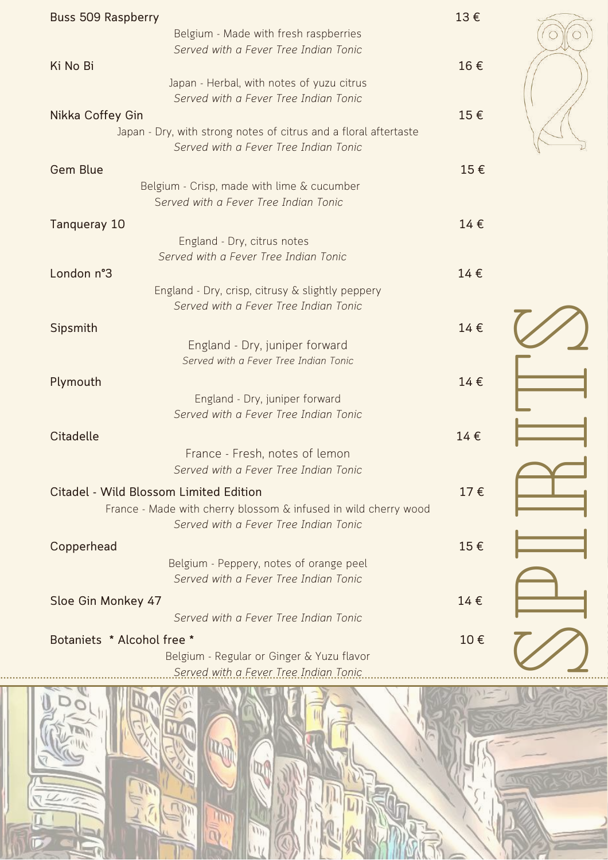| <b>Buss 509 Raspberry</b>                                                                                 | 13€ |  |
|-----------------------------------------------------------------------------------------------------------|-----|--|
| Belgium - Made with fresh raspberries                                                                     |     |  |
| Served with a Fever Tree Indian Tonic<br>Ki No Bi                                                         | 16€ |  |
| Japan - Herbal, with notes of yuzu citrus<br>Served with a Fever Tree Indian Tonic                        |     |  |
| Nikka Coffey Gin                                                                                          | 15€ |  |
| Japan - Dry, with strong notes of citrus and a floral aftertaste<br>Served with a Fever Tree Indian Tonic |     |  |
| <b>Gem Blue</b>                                                                                           | 15€ |  |
| Belgium - Crisp, made with lime & cucumber                                                                |     |  |
| Served with a Fever Tree Indian Tonic                                                                     |     |  |
| <b>Tanqueray 10</b>                                                                                       | 14€ |  |
| England - Dry, citrus notes                                                                               |     |  |
| Served with a Fever Tree Indian Tonic                                                                     |     |  |
| London n°3                                                                                                | 14€ |  |
| England - Dry, crisp, citrusy & slightly peppery<br>Served with a Fever Tree Indian Tonic                 |     |  |
|                                                                                                           |     |  |
| Sipsmith                                                                                                  | 14€ |  |
| England - Dry, juniper forward<br>Served with a Fever Tree Indian Tonic                                   |     |  |
|                                                                                                           |     |  |
| Plymouth                                                                                                  | 14€ |  |
| England - Dry, juniper forward<br>Served with a Fever Tree Indian Tonic                                   |     |  |
|                                                                                                           |     |  |
| <b>Citadelle</b>                                                                                          | 14€ |  |
| France - Fresh, notes of lemon                                                                            |     |  |
| Served with a Fever Tree Indian Tonic                                                                     |     |  |
| <b>Citadel - Wild Blossom Limited Edition</b>                                                             | 17€ |  |
| France - Made with cherry blossom & infused in wild cherry wood<br>Served with a Fever Tree Indian Tonic  |     |  |
| Copperhead                                                                                                | 15€ |  |
| Belgium - Peppery, notes of orange peel<br>Served with a Fever Tree Indian Tonic                          |     |  |
| Sloe Gin Monkey 47                                                                                        | 14€ |  |
| Served with a Fever Tree Indian Tonic                                                                     |     |  |
| Botaniets * Alcohol free *                                                                                | 10€ |  |
| Belgium - Regular or Ginger & Yuzu flavor                                                                 |     |  |
| Carvad with a Equar Trao Indian Tonic                                                                     |     |  |

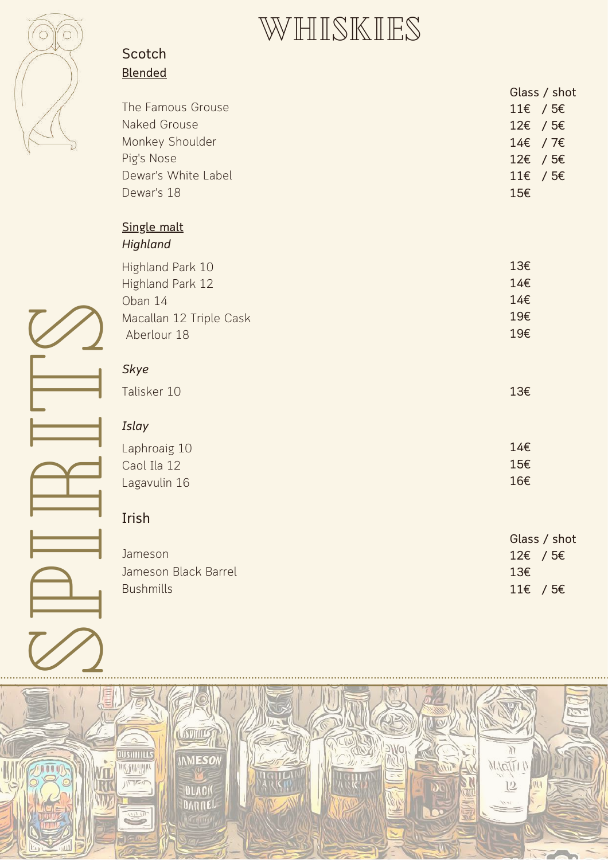

## WHISKIES

#### **S c o t c h** <u>Blended</u>

|                         | Glass / shot |
|-------------------------|--------------|
| The Famous Grouse       | 11€ / 5€     |
| Naked Grouse            | $12€$ / 5€   |
| Monkey Shoulder         | 14€ / 7€     |
| Pig's Nose              | $12€$ / 5€   |
| Dewar's White Label     | 11€ / 5€     |
| Dewar's 18              | 15€          |
| Single malt             |              |
| Highland                |              |
| Highland Park 10        | 13€          |
| Highland Park 12        | 14€          |
| Oban 14                 | 14€          |
| Macallan 12 Triple Cask | 19€          |
| Aberlour 18             | 19€          |
|                         |              |
| <b>Skye</b>             |              |
| Talisker 10             | 13€          |
| Islay                   |              |
| Laphroaig 10            | 14€          |
| Caol Ila 12             | 15€          |
| Lagavulin 16            | 16€          |
|                         |              |
| Irish                   |              |
|                         | Glass / shot |
| Jameson                 | 12€ / 5€     |
| Jameson Black Barrel    | 13€          |
| <b>Bushmills</b>        | 11€ / 5€     |
|                         |              |
|                         |              |
|                         |              |
|                         |              |

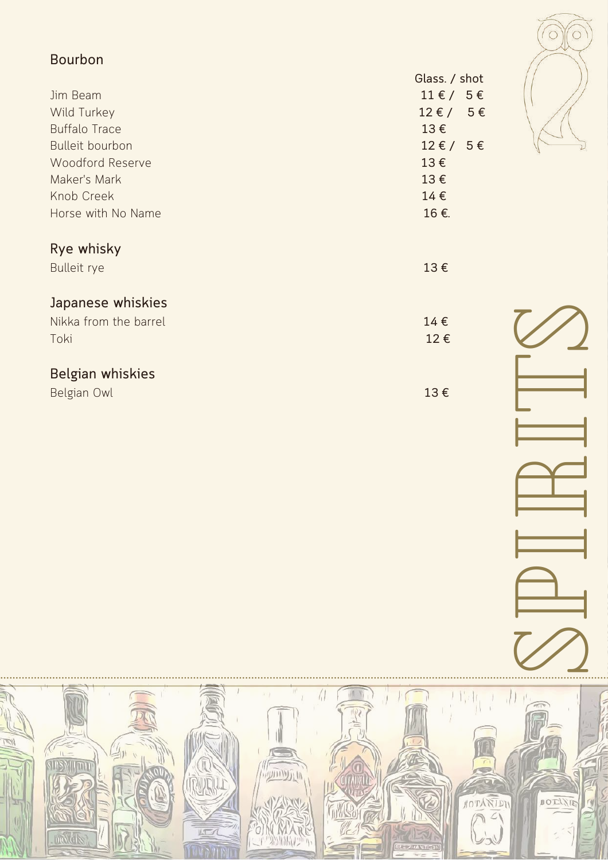| <b>Bourbon</b>         | Glass. / shot                | O             |
|------------------------|------------------------------|---------------|
| Jim Beam               | $11 \text{ E} / 5 \text{ E}$ |               |
| Wild Turkey            | $12 \epsilon / 5 \epsilon$   |               |
| <b>Buffalo Trace</b>   | $13 \in$                     |               |
| <b>Bulleit bourbon</b> | $12 \epsilon / 5 \epsilon$   |               |
| Woodford Reserve       | $13 \in$                     |               |
| Maker's Mark           | $13 \in$                     |               |
| Knob Creek             | $14 \in$                     |               |
| Horse with No Name     | 16€.                         |               |
| Rye whisky             |                              |               |
| <b>Bulleit rye</b>     | 13€                          |               |
| Japanese whiskies      |                              |               |
|                        |                              |               |
| Nikka from the barrel  | $14 \in$<br>$12 \in$         |               |
| Toki                   |                              |               |
| Belgian whiskies       |                              |               |
| Belgian Owl            | $13 \in$                     |               |
|                        |                              |               |
|                        |                              |               |
|                        |                              |               |
|                        |                              |               |
|                        |                              |               |
|                        |                              |               |
|                        |                              | $\equiv$      |
|                        |                              |               |
|                        |                              |               |
|                        |                              | $\triangleq$  |
|                        |                              |               |
|                        |                              | $\mathcal{U}$ |
|                        |                              |               |

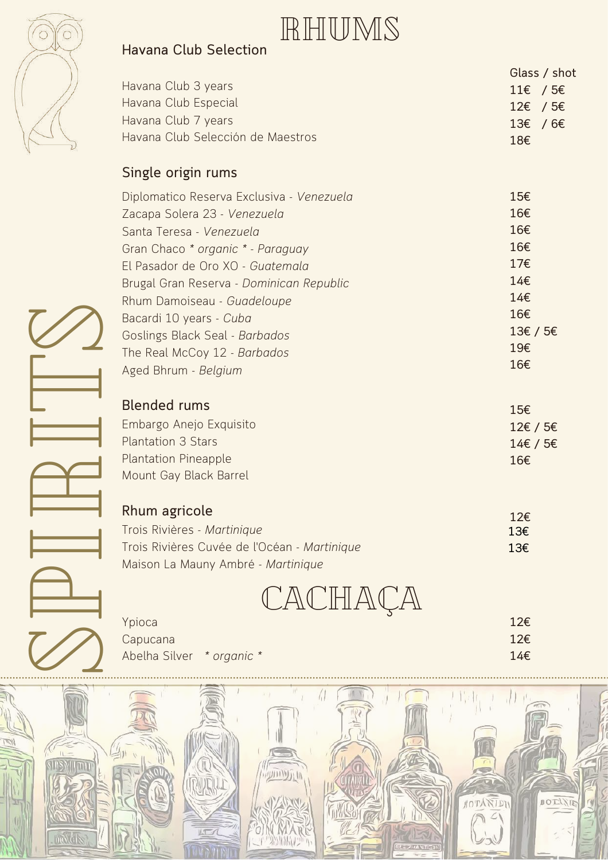

### **H a v a n a Clu b S ele c tio n**

| RHUMS |
|-------|
|-------|

|                                   |                            | Glass / shot |
|-----------------------------------|----------------------------|--------------|
| Havana Club 3 years               | $11€$ / 5€                 |              |
| Havana Club Especial              | $12€$ / 5€                 |              |
| Havana Club 7 years               | $13\epsilon$ /6 $\epsilon$ |              |
| Havana Club Selección de Maestros | 18€                        |              |

#### **Sin gle origin ru m s**

| Diplomatico Reserva Exclusiva - Venezuela | 15€      |
|-------------------------------------------|----------|
| Zacapa Solera 23 - Venezuela              | 16€      |
| Santa Teresa - Venezuela                  | 16€      |
| Gran Chaco * organic * - Paraguay         | 16€      |
| El Pasador de Oro XO - Guatemala          | 17€      |
| Brugal Gran Reserva - Dominican Republic  | 14€      |
| Rhum Damoiseau - Guadeloupe               | 14€      |
| Bacardi 10 years - Cuba                   | 16€      |
| Goslings Black Seal - Barbados            | 13€ / 5€ |
| The Real McCoy 12 - Barbados              | 19€      |
| Aged Bhrum - Belgium                      | 16€      |
|                                           |          |

| Bacardi 10 years - Cuba<br>Goslings Black Seal - Barbados<br>The Real McCoy 12 - Barbados<br>Aged Bhrum - Belgium                    | 16€<br>13€ / 5€<br>19€<br>16€      |
|--------------------------------------------------------------------------------------------------------------------------------------|------------------------------------|
| <b>Blended rums</b><br>Embargo Anejo Exquisito<br><b>Plantation 3 Stars</b><br><b>Plantation Pineapple</b><br>Mount Gay Black Barrel | 15€<br>12€ / 5€<br>14€ / 5€<br>16€ |
| Rhum agricole<br>Trois Rivières - Martinique<br>Trois Rivières Cuvée de l'Océan - Martinique<br>Maison La Mauny Ambré - Martinique   | 12€<br>13€<br>13€                  |
| CACHACA<br>Ypioca<br>Capucana<br>Abelha Silver * organic *                                                                           | 12€<br>12€<br>14€                  |

| <b>Rhum agricole</b>                         | 12€ |
|----------------------------------------------|-----|
| Trois Rivières - Martinique                  | 13€ |
| Trois Rivières Cuvée de l'Océan - Martinique | 13€ |
| Maison La Mauny Ambré - Martinique           |     |

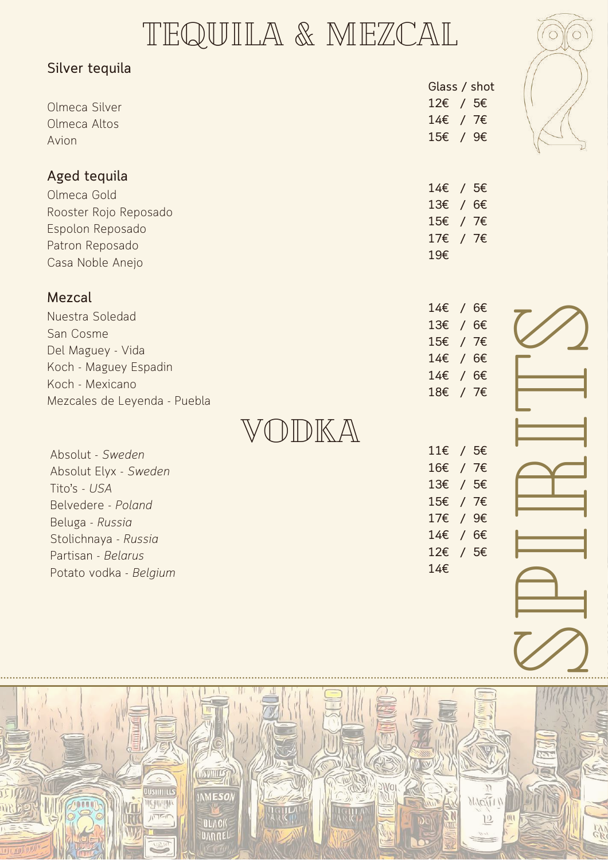# TEQUILA & MEZCAL

| Silver tequila               |                 |              |  |
|------------------------------|-----------------|--------------|--|
|                              |                 | Glass / shot |  |
| Olmeca Silver                |                 | 12€ / 5€     |  |
| Olmeca Altos                 |                 | 14€ / 7€     |  |
| Avion                        |                 | 15€ / 9€     |  |
| Aged tequila                 |                 |              |  |
| Olmeca Gold                  |                 | 14€ / 5€     |  |
| Rooster Rojo Reposado        |                 | 13€ / 6€     |  |
| Espolon Reposado             |                 | 15€ / 7€     |  |
| Patron Reposado              |                 | 17€ / 7€     |  |
| Casa Noble Anejo             | 19€             |              |  |
| Mezcal                       |                 |              |  |
| Nuestra Soledad              |                 | 14€ / 6€     |  |
| San Cosme                    |                 | 13€ / 6€     |  |
| Del Maguey - Vida            |                 | 15€ / 7€     |  |
| Koch - Maguey Espadin        |                 | 14€ / 6€     |  |
| Koch - Mexicano              |                 | 14€ / 6€     |  |
| Mezcales de Leyenda - Puebla |                 | 18€ / 7€     |  |
|                              |                 |              |  |
|                              | $11\varepsilon$ | /5€          |  |
| Absolut - Sweden             |                 | 16€ / 7€     |  |
| Absolut Elyx - Sweden        | $13\varepsilon$ | /5€          |  |
| Tito's - USA                 |                 | 15€ / 7€     |  |
| Belvedere - Poland           |                 | 17€ / 9€     |  |
| Beluga - Russia              | 14€             | /6€          |  |
| Stolichnaya - Russia         |                 | 12€ / 5€     |  |
| Partisan - Belarus           | 14€             |              |  |
| Potato vodka - Belgium       |                 |              |  |